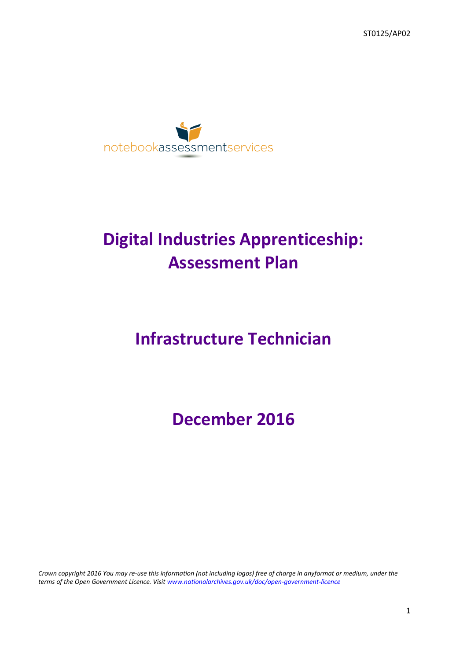ST0125/AP02



# **Digital Industries Apprenticeship: Assessment Plan**

# **Infrastructure Technician**

**December 2016**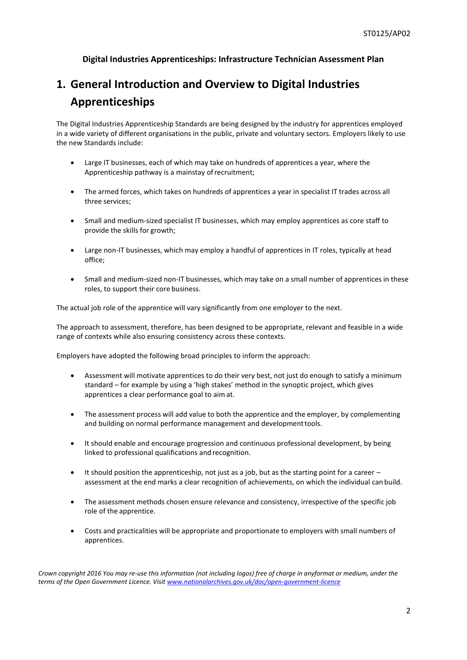### **Digital Industries Apprenticeships: Infrastructure Technician Assessment Plan**

# **1. General Introduction and Overview to Digital Industries Apprenticeships**

The Digital Industries Apprenticeship Standards are being designed by the industry for apprentices employed in a wide variety of different organisations in the public, private and voluntary sectors. Employers likely to use the new Standards include:

- Large IT businesses, each of which may take on hundreds of apprentices a year, where the Apprenticeship pathway is a mainstay ofrecruitment;
- The armed forces, which takes on hundreds of apprentices a year in specialist IT trades across all three services;
- Small and medium-sized specialist IT businesses, which may employ apprentices as core staff to provide the skills for growth;
- Large non-IT businesses, which may employ a handful of apprentices in IT roles, typically at head office;
- Small and medium-sized non-IT businesses, which may take on a small number of apprentices in these roles, to support their core business.

The actual job role of the apprentice will vary significantly from one employer to the next.

The approach to assessment, therefore, has been designed to be appropriate, relevant and feasible in a wide range of contexts while also ensuring consistency across these contexts.

Employers have adopted the following broad principles to inform the approach:

- Assessment will motivate apprentices to do their very best, not just do enough to satisfy a minimum standard – for example by using a 'high stakes' method in the synoptic project, which gives apprentices a clear performance goal to aimat.
- The assessment process will add value to both the apprentice and the employer, by complementing and building on normal performance management and developmenttools.
- It should enable and encourage progression and continuous professional development, by being linked to professional qualifications and recognition.
- $\bullet$  It should position the apprenticeship, not just as a job, but as the starting point for a career assessment at the end marks a clear recognition of achievements, on which the individual can build.
- The assessment methods chosen ensure relevance and consistency, irrespective of the specific job role of the apprentice.
- Costs and practicalities will be appropriate and proportionate to employers with small numbers of apprentices.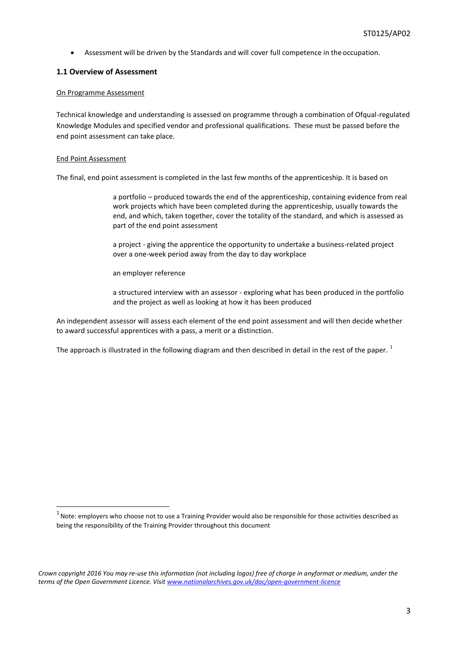Assessment will be driven by the Standards and will cover full competence in the occupation.

### **1.1 Overview of Assessment**

### On Programme Assessment

Technical knowledge and understanding is assessed on programme through a combination of Ofqual-regulated Knowledge Modules and specified vendor and professional qualifications. These must be passed before the end point assessment can take place.

### End Point Assessment

The final, end point assessment is completed in the last few months of the apprenticeship. It is based on

a portfolio – produced towards the end of the apprenticeship, containing evidence from real work projects which have been completed during the apprenticeship, usually towards the end, and which, taken together, cover the totality of the standard, and which is assessed as part of the end point assessment

a project - giving the apprentice the opportunity to undertake a business-related project over a one-week period away from the day to day workplace

an employer reference

a structured interview with an assessor - exploring what has been produced in the portfolio and the project as well as looking at how it has been produced

An independent assessor will assess each element of the end point assessment and will then decide whether to award successful apprentices with a pass, a merit or a distinction.

The approach is illustrated in the following diagram and then described in detail in the rest of the paper.  $1$ 

 $1$  Note: employers who choose not to use a Training Provider would also be responsible for those activities described as being the responsibility of the Training Provider throughout this document

*Crown copyright 2016 You may re-use this information (not including logos) free of charge in anyformat or medium, under the terms of the Open Government Licence. Visit [www.nationalarchives.gov.uk/doc/open-government-licence](http://www.nationalarchives.gov.uk/doc/open-government-licence)*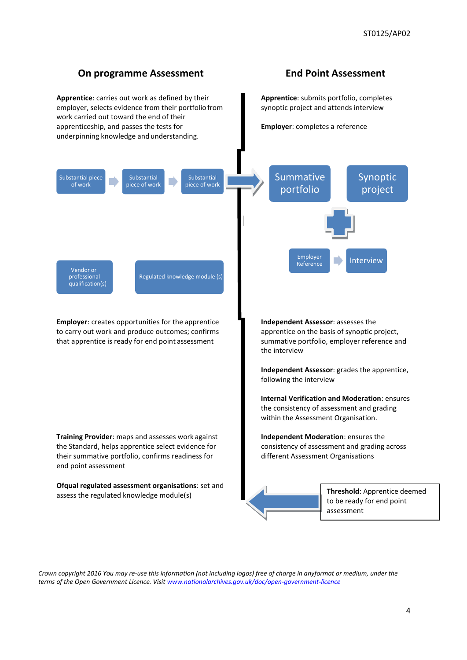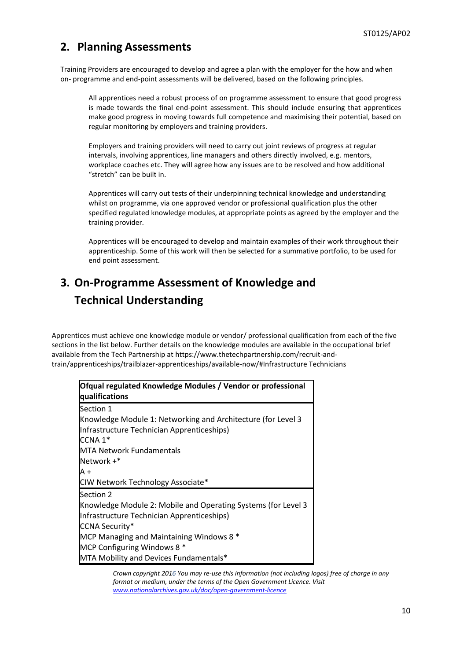## **2. Planning Assessments**

Training Providers are encouraged to develop and agree a plan with the employer for the how and when on- programme and end-point assessments will be delivered, based on the following principles.

All apprentices need a robust process of on programme assessment to ensure that good progress is made towards the final end-point assessment. This should include ensuring that apprentices make good progress in moving towards full competence and maximising their potential, based on regular monitoring by employers and training providers.

Employers and training providers will need to carry out joint reviews of progress at regular intervals, involving apprentices, line managers and others directly involved, e.g. mentors, workplace coaches etc. They will agree how any issues are to be resolved and how additional "stretch" can be built in.

Apprentices will carry out tests of their underpinning technical knowledge and understanding whilst on programme, via one approved vendor or professional qualification plus the other specified regulated knowledge modules, at appropriate points as agreed by the employer and the training provider.

Apprentices will be encouraged to develop and maintain examples of their work throughout their apprenticeship. Some of this work will then be selected for a summative portfolio, to be used for end point assessment.

# **3. On-Programme Assessment of Knowledge and Technical Understanding**

Apprentices must achieve one knowledge module or vendor/ professional qualification from each of the five sections in the list below. Further details on the knowledge modules are available in the occupational brief available from the Tech Partnership at https://www.thetechpartnership.com/recruit-andtrain/apprenticeships/trailblazer-apprenticeships/available-now/#Infrastructure Technicians

| Ofqual regulated Knowledge Modules / Vendor or professional   |  |  |
|---------------------------------------------------------------|--|--|
| qualifications                                                |  |  |
| Section 1                                                     |  |  |
| Knowledge Module 1: Networking and Architecture (for Level 3  |  |  |
| Infrastructure Technician Apprenticeships)                    |  |  |
| CCNA 1*                                                       |  |  |
| <b>MTA Network Fundamentals</b>                               |  |  |
| Network +*                                                    |  |  |
| A +                                                           |  |  |
| CIW Network Technology Associate*                             |  |  |
| Section 2                                                     |  |  |
| Knowledge Module 2: Mobile and Operating Systems (for Level 3 |  |  |
| Infrastructure Technician Apprenticeships)                    |  |  |
| <b>CCNA Security*</b>                                         |  |  |
| MCP Managing and Maintaining Windows 8 *                      |  |  |
| MCP Configuring Windows 8 *                                   |  |  |
| MTA Mobility and Devices Fundamentals*                        |  |  |

*Crown copyright 2016 You may re-use this information (not including logos) free of charge in any format or medium, under the terms of the Open Government Licence. Visit [www.nationalarchives.gov.uk/doc/open-government-licence](http://www.nationalarchives.gov.uk/doc/open-government-licence)*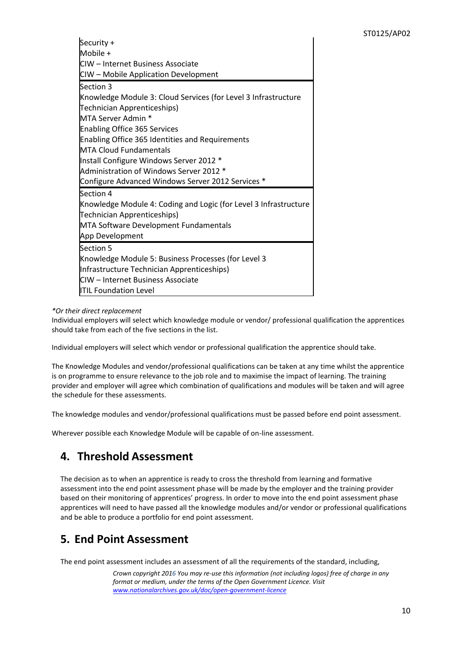| Security +                                                       |  |  |
|------------------------------------------------------------------|--|--|
| Mobile +                                                         |  |  |
| <b>ICIW – Internet Business Associate</b>                        |  |  |
| CIW - Mobile Application Development                             |  |  |
| Section 3                                                        |  |  |
| Knowledge Module 3: Cloud Services (for Level 3 Infrastructure   |  |  |
| Technician Apprenticeships)                                      |  |  |
| MTA Server Admin *                                               |  |  |
| <b>Enabling Office 365 Services</b>                              |  |  |
| <b>Enabling Office 365 Identities and Requirements</b>           |  |  |
| <b>IMTA Cloud Fundamentals</b>                                   |  |  |
| Install Configure Windows Server 2012 *                          |  |  |
| Administration of Windows Server 2012 *                          |  |  |
| Configure Advanced Windows Server 2012 Services *                |  |  |
| Section 4                                                        |  |  |
| Knowledge Module 4: Coding and Logic (for Level 3 Infrastructure |  |  |
| Technician Apprenticeships)                                      |  |  |
| MTA Software Development Fundamentals                            |  |  |
| App Development                                                  |  |  |
| Section 5                                                        |  |  |
| Knowledge Module 5: Business Processes (for Level 3              |  |  |
| Infrastructure Technician Apprenticeships)                       |  |  |
| <b>ICIW</b> – Internet Business Associate                        |  |  |
| <b>ITIL Foundation Level</b>                                     |  |  |

### *\*Or their direct replacement*

Individual employers will select which knowledge module or vendor/ professional qualification the apprentices should take from each of the five sections in the list.

Individual employers will select which vendor or professional qualification the apprentice should take.

The Knowledge Modules and vendor/professional qualifications can be taken at any time whilst the apprentice is on programme to ensure relevance to the job role and to maximise the impact of learning. The training provider and employer will agree which combination of qualifications and modules will be taken and will agree the schedule for these assessments.

The knowledge modules and vendor/professional qualifications must be passed before end point assessment.

Wherever possible each Knowledge Module will be capable of on-line assessment.

### **4. Threshold Assessment**

The decision as to when an apprentice is ready to cross the threshold from learning and formative assessment into the end point assessment phase will be made by the employer and the training provider based on their monitoring of apprentices' progress. In order to move into the end point assessment phase apprentices will need to have passed all the knowledge modules and/or vendor or professional qualifications and be able to produce a portfolio for end point assessment.

### **5. End Point Assessment**

The end point assessment includes an assessment of all the requirements of the standard, including,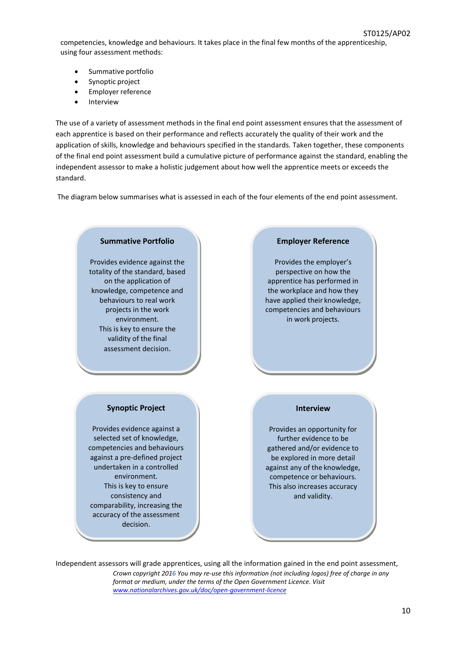competencies, knowledge and behaviours. It takes place in the final few months of the apprenticeship, using four assessment methods:

- Summative portfolio
- Synoptic project
- Employer reference
- Interview

The use of a variety of assessment methods in the final end point assessment ensures that the assessment of each apprentice is based on their performance and reflects accurately the quality of their work and the application of skills, knowledge and behaviours specified in the standards. Taken together, these components of the final end point assessment build a cumulative picture of performance against the standard, enabling the independent assessor to make a holistic judgement about how well the apprentice meets or exceeds the standard.

The diagram below summarises what is assessed in each of the four elements of the end point assessment.



*Crown copyright 2016 You may re-use this information (not including logos) free of charge in any format or medium, under the terms of the Open Government Licence. Visit [www.nationalarchives.gov.uk/doc/open-government-licence](http://www.nationalarchives.gov.uk/doc/open-government-licence)* Independent assessors will grade apprentices, using all the information gained in the end point assessment,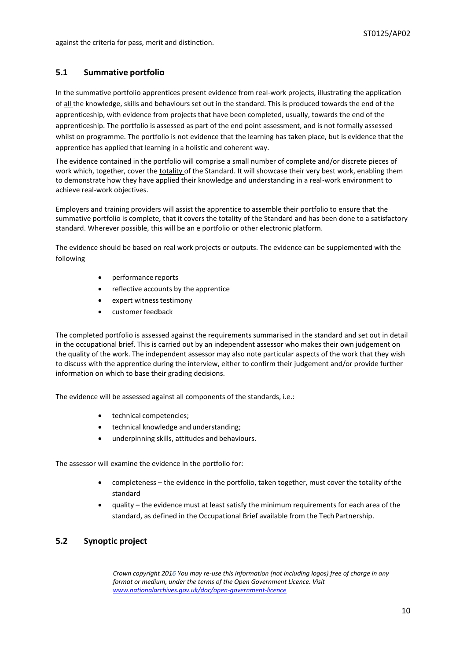### **5.1 Summative portfolio**

In the summative portfolio apprentices present evidence from real-work projects, illustrating the application of all the knowledge, skills and behaviours set out in the standard. This is produced towards the end of the apprenticeship, with evidence from projects that have been completed, usually, towards the end of the apprenticeship. The portfolio is assessed as part of the end point assessment, and is not formally assessed whilst on programme. The portfolio is not evidence that the learning has taken place, but is evidence that the apprentice has applied that learning in a holistic and coherent way.

The evidence contained in the portfolio will comprise a small number of complete and/or discrete pieces of work which, together, cover the totality of the Standard. It will showcase their very best work, enabling them to demonstrate how they have applied their knowledge and understanding in a real-work environment to achieve real-work objectives.

Employers and training providers will assist the apprentice to assemble their portfolio to ensure that the summative portfolio is complete, that it covers the totality of the Standard and has been done to a satisfactory standard. Wherever possible, this will be an e portfolio or other electronic platform.

The evidence should be based on real work projects or outputs. The evidence can be supplemented with the following

- performance reports
- reflective accounts by the apprentice
- expert witness testimony
- customer feedback

The completed portfolio is assessed against the requirements summarised in the standard and set out in detail in the occupational brief. This is carried out by an independent assessor who makes their own judgement on the quality of the work. The independent assessor may also note particular aspects of the work that they wish to discuss with the apprentice during the interview, either to confirm their judgement and/or provide further information on which to base their grading decisions.

The evidence will be assessed against all components of the standards, i.e.:

- technical competencies;
- technical knowledge and understanding;
- underpinning skills, attitudes and behaviours.

The assessor will examine the evidence in the portfolio for:

- completeness the evidence in the portfolio, taken together, must cover the totality ofthe standard
- quality the evidence must at least satisfy the minimum requirements for each area of the standard, as defined in the Occupational Brief available from the Tech Partnership.

### **5.2 Synoptic project**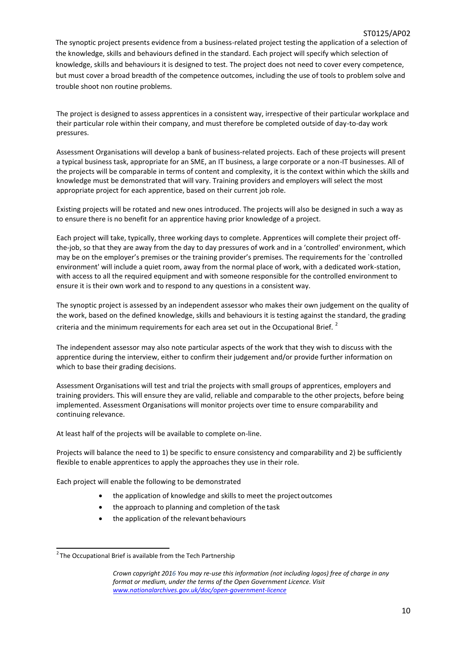The synoptic project presents evidence from a business-related project testing the application of a selection of the knowledge, skills and behaviours defined in the standard. Each project will specify which selection of knowledge, skills and behaviours it is designed to test. The project does not need to cover every competence, but must cover a broad breadth of the competence outcomes, including the use of tools to problem solve and trouble shoot non routine problems.

The project is designed to assess apprentices in a consistent way, irrespective of their particular workplace and their particular role within their company, and must therefore be completed outside of day-to-day work pressures.

Assessment Organisations will develop a bank of business-related projects. Each of these projects will present a typical business task, appropriate for an SME, an IT business, a large corporate or a non-IT businesses. All of the projects will be comparable in terms of content and complexity, it is the context within which the skills and knowledge must be demonstrated that will vary. Training providers and employers will select the most appropriate project for each apprentice, based on their current job role.

Existing projects will be rotated and new ones introduced. The projects will also be designed in such a way as to ensure there is no benefit for an apprentice having prior knowledge of a project.

Each project will take, typically, three working days to complete. Apprentices will complete their project offthe-job, so that they are away from the day to day pressures of work and in a 'controlled' environment, which may be on the employer's premises or the training provider's premises. The requirements for the `controlled environment' will include a quiet room, away from the normal place of work, with a dedicated work-station, with access to all the required equipment and with someone responsible for the controlled environment to ensure it is their own work and to respond to any questions in a consistent way.

The synoptic project is assessed by an independent assessor who makes their own judgement on the quality of the work, based on the defined knowledge, skills and behaviours it is testing against the standard, the grading criteria and the minimum requirements for each area set out in the Occupational Brief.<sup>2</sup>

The independent assessor may also note particular aspects of the work that they wish to discuss with the apprentice during the interview, either to confirm their judgement and/or provide further information on which to base their grading decisions.

Assessment Organisations will test and trial the projects with small groups of apprentices, employers and training providers. This will ensure they are valid, reliable and comparable to the other projects, before being implemented. Assessment Organisations will monitor projects over time to ensure comparability and continuing relevance.

At least half of the projects will be available to complete on-line.

Projects will balance the need to 1) be specific to ensure consistency and comparability and 2) be sufficiently flexible to enable apprentices to apply the approaches they use in their role.

Each project will enable the following to be demonstrated

- the application of knowledge and skills to meet the project outcomes
- the approach to planning and completion of the task
- the application of the relevant behaviours

 $2$ The Occupational Brief is available from the Tech Partnership

*Crown copyright 2016 You may re-use this information (not including logos) free of charge in any format or medium, under the terms of the Open Government Licence. Visit [www.nationalarchives.gov.uk/doc/open-government-licence](http://www.nationalarchives.gov.uk/doc/open-government-licence)*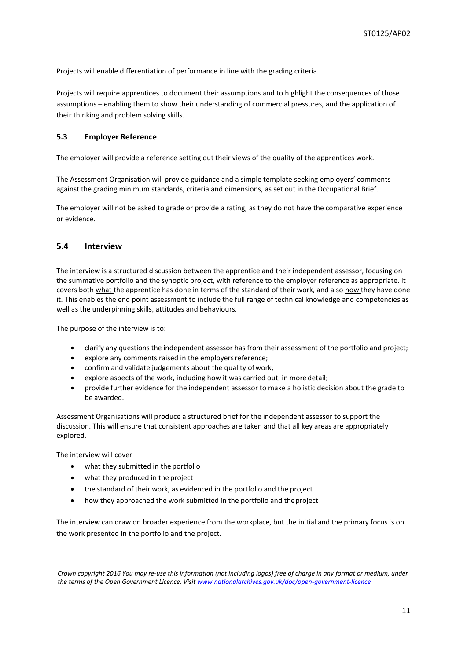Projects will enable differentiation of performance in line with the grading criteria.

Projects will require apprentices to document their assumptions and to highlight the consequences of those assumptions – enabling them to show their understanding of commercial pressures, and the application of their thinking and problem solving skills.

### **5.3 Employer Reference**

The employer will provide a reference setting out their views of the quality of the apprentices work.

The Assessment Organisation will provide guidance and a simple template seeking employers' comments against the grading minimum standards, criteria and dimensions, as set out in the Occupational Brief.

The employer will not be asked to grade or provide a rating, as they do not have the comparative experience or evidence.

### **5.4 Interview**

The interview is a structured discussion between the apprentice and their independent assessor, focusing on the summative portfolio and the synoptic project, with reference to the employer reference as appropriate. It covers both what the apprentice has done in terms of the standard of their work, and also how they have done it. This enables the end point assessment to include the full range of technical knowledge and competencies as well as the underpinning skills, attitudes and behaviours.

The purpose of the interview is to:

- clarify any questions the independent assessor has from their assessment of the portfolio and project;
- explore any comments raised in the employersreference;
- confirm and validate judgements about the quality of work;
- explore aspects of the work, including how it was carried out, in more detail;
- provide further evidence for the independent assessor to make a holistic decision about the grade to be awarded.

Assessment Organisations will produce a structured brief for the independent assessor to support the discussion. This will ensure that consistent approaches are taken and that all key areas are appropriately explored.

The interview will cover

- what they submitted in the portfolio
- what they produced in the project
- the standard of their work, as evidenced in the portfolio and the project
- how they approached the work submitted in the portfolio and theproject

The interview can draw on broader experience from the workplace, but the initial and the primary focus is on the work presented in the portfolio and the project.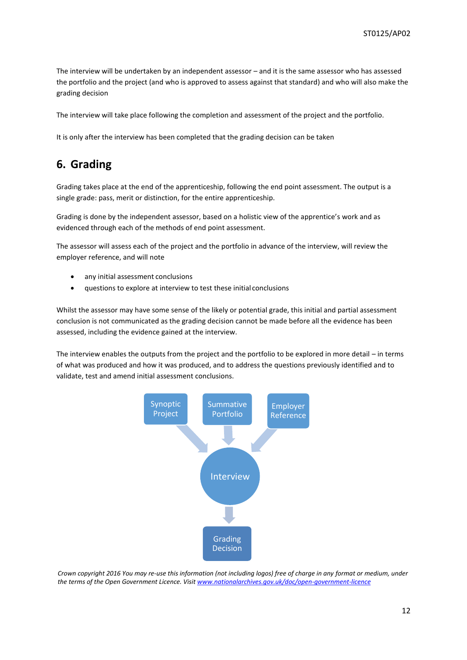The interview will be undertaken by an independent assessor – and it is the same assessor who has assessed the portfolio and the project (and who is approved to assess against that standard) and who will also make the grading decision

The interview will take place following the completion and assessment of the project and the portfolio.

It is only after the interview has been completed that the grading decision can be taken

## **6. Grading**

Grading takes place at the end of the apprenticeship, following the end point assessment. The output is a single grade: pass, merit or distinction, for the entire apprenticeship.

Grading is done by the independent assessor, based on a holistic view of the apprentice's work and as evidenced through each of the methods of end point assessment.

The assessor will assess each of the project and the portfolio in advance of the interview, will review the employer reference, and will note

- any initial assessment conclusions
- questions to explore at interview to test these initial conclusions

Whilst the assessor may have some sense of the likely or potential grade, this initial and partial assessment conclusion is not communicated as the grading decision cannot be made before all the evidence has been assessed, including the evidence gained at the interview.

The interview enables the outputs from the project and the portfolio to be explored in more detail – in terms of what was produced and how it was produced, and to address the questions previously identified and to validate, test and amend initial assessment conclusions.

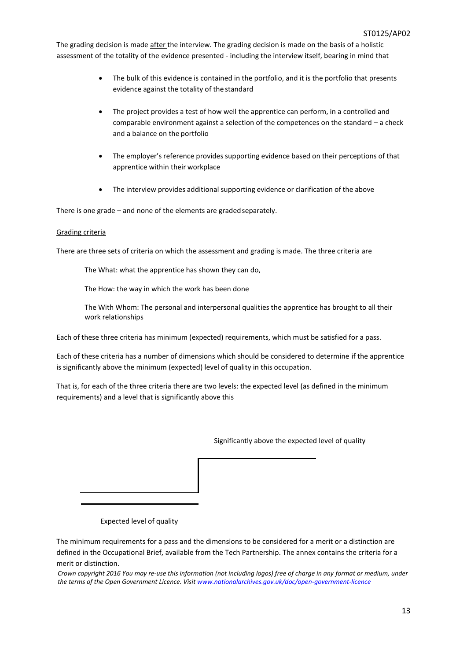The grading decision is made after the interview. The grading decision is made on the basis of a holistic assessment of the totality of the evidence presented - including the interview itself, bearing in mind that

- The bulk of this evidence is contained in the portfolio, and it is the portfolio that presents evidence against the totality of the standard
- The project provides a test of how well the apprentice can perform, in a controlled and comparable environment against a selection of the competences on the standard – a check and a balance on the portfolio
- The employer's reference provides supporting evidence based on their perceptions of that apprentice within their workplace
- The interview provides additional supporting evidence or clarification of the above

There is one grade – and none of the elements are gradedseparately.

### Grading criteria

There are three sets of criteria on which the assessment and grading is made. The three criteria are

The What: what the apprentice has shown they can do,

The How: the way in which the work has been done

The With Whom: The personal and interpersonal qualities the apprentice has brought to all their work relationships

Each of these three criteria has minimum (expected) requirements, which must be satisfied for a pass.

Each of these criteria has a number of dimensions which should be considered to determine if the apprentice is significantly above the minimum (expected) level of quality in this occupation.

That is, for each of the three criteria there are two levels: the expected level (as defined in the minimum requirements) and a level that is significantly above this

Significantly above the expected level of quality

Expected level of quality

The minimum requirements for a pass and the dimensions to be considered for a merit or a distinction are defined in the Occupational Brief, available from the Tech Partnership. The annex contains the criteria for a merit or distinction.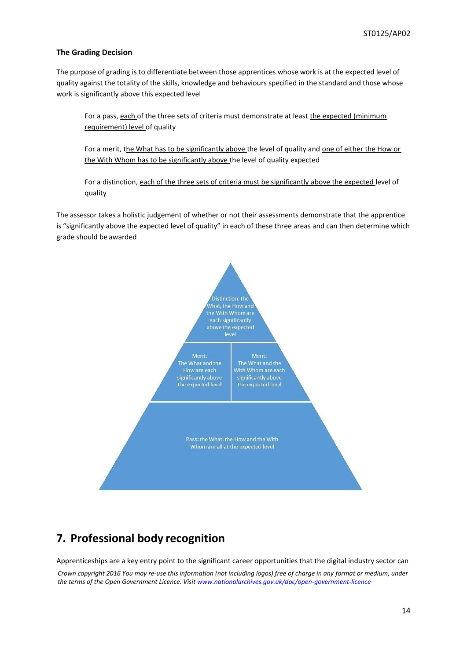### **The Grading Decision**

The purpose of grading is to differentiate between those apprentices whose work is at the expected level of quality against the totality of the skills, knowledge and behaviours specified in the standard and those whose work is significantly above this expected level

For a pass, each of the three sets of criteria must demonstrate at least the expected (minimum requirement) level of quality

For a merit, the What has to be significantly above the level of quality and one of either the How or the With Whom has to be significantly above the level of quality expected

For a distinction, each of the three sets of criteria must be significantly above the expected level of quality

The assessor takes a holistic judgement of whether or not their assessments demonstrate that the apprentice is "significantly above the expected level of quality" in each of these three areas and can then determine which grade should be awarded



# **7. Professional body recognition**

Apprenticeships are a key entry point to the significant career opportunities that the digital industry sector can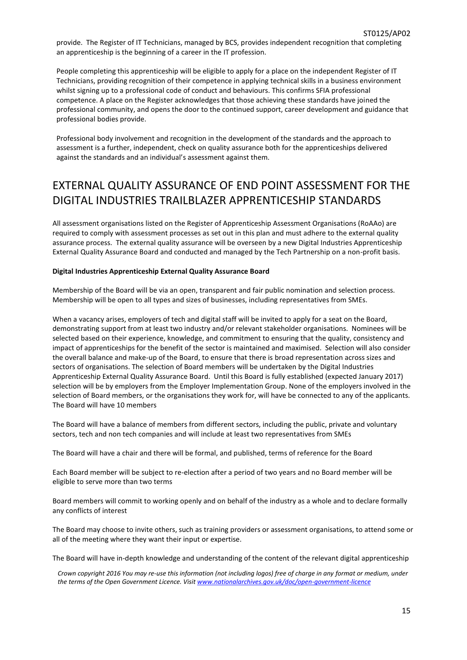People completing this apprenticeship will be eligible to apply for a place on the independent Register of IT Technicians, providing recognition of their competence in applying technical skills in a business environment whilst signing up to a professional code of conduct and behaviours. This confirms SFIA professional competence. A place on the Register acknowledges that those achieving these standards have joined the professional community, and opens the door to the continued support, career development and guidance that professional bodies provide.

Professional body involvement and recognition in the development of the standards and the approach to assessment is a further, independent, check on quality assurance both for the apprenticeships delivered against the standards and an individual's assessment against them.

# EXTERNAL QUALITY ASSURANCE OF END POINT ASSESSMENT FOR THE DIGITAL INDUSTRIES TRAILBLAZER APPRENTICESHIP STANDARDS

All assessment organisations listed on the Register of Apprenticeship Assessment Organisations (RoAAo) are required to comply with assessment processes as set out in this plan and must adhere to the external quality assurance process. The external quality assurance will be overseen by a new Digital Industries Apprenticeship External Quality Assurance Board and conducted and managed by the Tech Partnership on a non-profit basis.

### **Digital Industries Apprenticeship External Quality Assurance Board**

Membership of the Board will be via an open, transparent and fair public nomination and selection process. Membership will be open to all types and sizes of businesses, including representatives from SMEs.

When a vacancy arises, employers of tech and digital staff will be invited to apply for a seat on the Board, demonstrating support from at least two industry and/or relevant stakeholder organisations. Nominees will be selected based on their experience, knowledge, and commitment to ensuring that the quality, consistency and impact of apprenticeships for the benefit of the sector is maintained and maximised. Selection will also consider the overall balance and make-up of the Board, to ensure that there is broad representation across sizes and sectors of organisations. The selection of Board members will be undertaken by the Digital Industries Apprenticeship External Quality Assurance Board. Until this Board is fully established (expected January 2017) selection will be by employers from the Employer Implementation Group. None of the employers involved in the selection of Board members, or the organisations they work for, will have be connected to any of the applicants. The Board will have 10 members

The Board will have a balance of members from different sectors, including the public, private and voluntary sectors, tech and non tech companies and will include at least two representatives from SMEs

The Board will have a chair and there will be formal, and published, terms of reference for the Board

Each Board member will be subject to re-election after a period of two years and no Board member will be eligible to serve more than two terms

Board members will commit to working openly and on behalf of the industry as a whole and to declare formally any conflicts of interest

The Board may choose to invite others, such as training providers or assessment organisations, to attend some or all of the meeting where they want their input or expertise.

The Board will have in-depth knowledge and understanding of the content of the relevant digital apprenticeship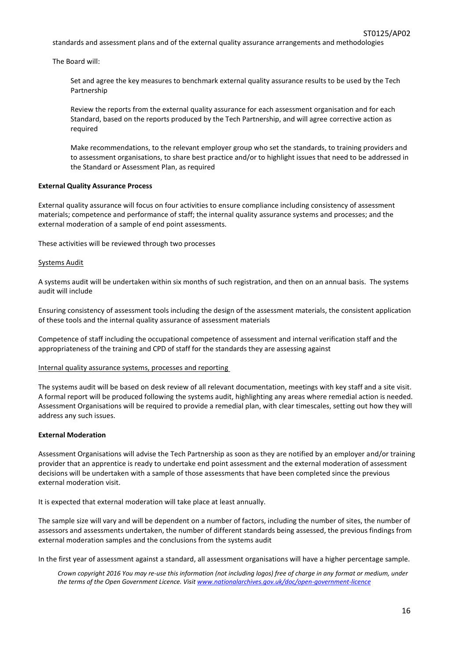standards and assessment plans and of the external quality assurance arrangements and methodologies

The Board will:

Set and agree the key measures to benchmark external quality assurance results to be used by the Tech Partnership

Review the reports from the external quality assurance for each assessment organisation and for each Standard, based on the reports produced by the Tech Partnership, and will agree corrective action as required

Make recommendations, to the relevant employer group who set the standards, to training providers and to assessment organisations, to share best practice and/or to highlight issues that need to be addressed in the Standard or Assessment Plan, as required

### **External Quality Assurance Process**

External quality assurance will focus on four activities to ensure compliance including consistency of assessment materials; competence and performance of staff; the internal quality assurance systems and processes; and the external moderation of a sample of end point assessments.

These activities will be reviewed through two processes

#### Systems Audit

A systems audit will be undertaken within six months of such registration, and then on an annual basis. The systems audit will include

Ensuring consistency of assessment tools including the design of the assessment materials, the consistent application of these tools and the internal quality assurance of assessment materials

Competence of staff including the occupational competence of assessment and internal verification staff and the appropriateness of the training and CPD of staff for the standards they are assessing against

### Internal quality assurance systems, processes and reporting

The systems audit will be based on desk review of all relevant documentation, meetings with key staff and a site visit. A formal report will be produced following the systems audit, highlighting any areas where remedial action is needed. Assessment Organisations will be required to provide a remedial plan, with clear timescales, setting out how they will address any such issues.

#### **External Moderation**

Assessment Organisations will advise the Tech Partnership as soon as they are notified by an employer and/or training provider that an apprentice is ready to undertake end point assessment and the external moderation of assessment decisions will be undertaken with a sample of those assessments that have been completed since the previous external moderation visit.

It is expected that external moderation will take place at least annually.

The sample size will vary and will be dependent on a number of factors, including the number of sites, the number of assessors and assessments undertaken, the number of different standards being assessed, the previous findings from external moderation samples and the conclusions from the systems audit

In the first year of assessment against a standard, all assessment organisations will have a higher percentage sample.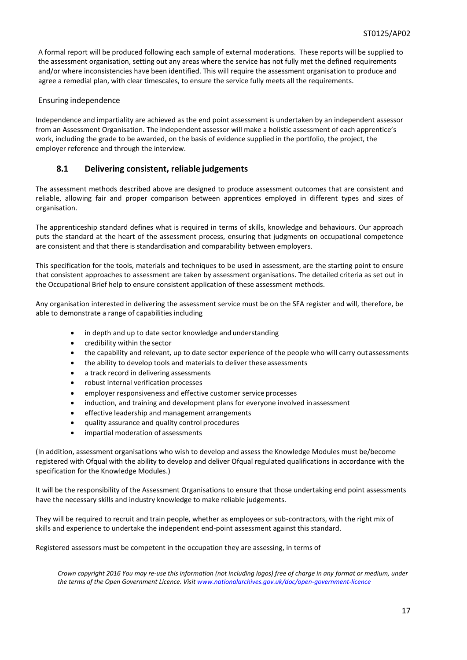A formal report will be produced following each sample of external moderations. These reports will be supplied to the assessment organisation, setting out any areas where the service has not fully met the defined requirements and/or where inconsistencies have been identified. This will require the assessment organisation to produce and agree a remedial plan, with clear timescales, to ensure the service fully meets all the requirements.

### Ensuring independence

Independence and impartiality are achieved as the end point assessment is undertaken by an independent assessor from an Assessment Organisation. The independent assessor will make a holistic assessment of each apprentice's work, including the grade to be awarded, on the basis of evidence supplied in the portfolio, the project, the employer reference and through the interview.

### **8.1 Delivering consistent, reliable judgements**

The assessment methods described above are designed to produce assessment outcomes that are consistent and reliable, allowing fair and proper comparison between apprentices employed in different types and sizes of organisation.

The apprenticeship standard defines what is required in terms of skills, knowledge and behaviours. Our approach puts the standard at the heart of the assessment process, ensuring that judgments on occupational competence are consistent and that there is standardisation and comparability between employers.

This specification for the tools, materials and techniques to be used in assessment, are the starting point to ensure that consistent approaches to assessment are taken by assessment organisations. The detailed criteria as set out in the Occupational Brief help to ensure consistent application of these assessment methods.

Any organisation interested in delivering the assessment service must be on the SFA register and will, therefore, be able to demonstrate a range of capabilities including

- in depth and up to date sector knowledge and understanding
- credibility within the sector
- the capability and relevant, up to date sector experience of the people who will carry out assessments
- the ability to develop tools and materials to deliver these assessments
- a track record in delivering assessments
- robust internal verification processes
- employer responsiveness and effective customer service processes
- induction, and training and development plans for everyone involved inassessment
- effective leadership and management arrangements
- quality assurance and quality control procedures
- impartial moderation of assessments

(In addition, assessment organisations who wish to develop and assess the Knowledge Modules must be/become registered with Ofqual with the ability to develop and deliver Ofqual regulated qualifications in accordance with the specification for the Knowledge Modules.)

It will be the responsibility of the Assessment Organisations to ensure that those undertaking end point assessments have the necessary skills and industry knowledge to make reliable judgements.

They will be required to recruit and train people, whether as employees or sub-contractors, with the right mix of skills and experience to undertake the independent end-point assessment against this standard.

Registered assessors must be competent in the occupation they are assessing, in terms of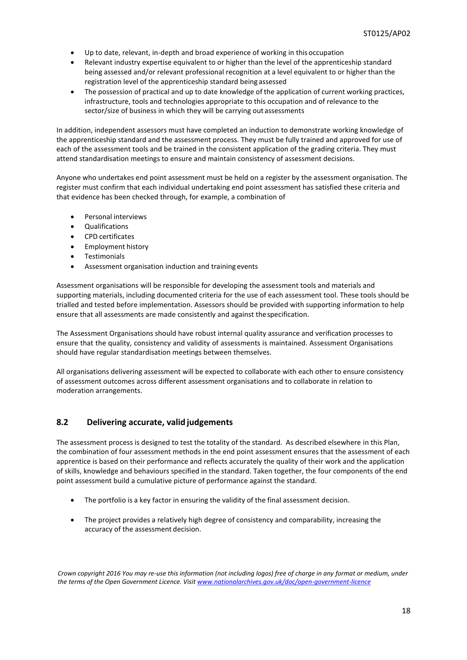- Up to date, relevant, in-depth and broad experience of working in thisoccupation
- Relevant industry expertise equivalent to or higher than the level of the apprenticeship standard being assessed and/or relevant professional recognition at a level equivalent to or higher than the registration level of the apprenticeship standard being assessed
- The possession of practical and up to date knowledge of the application of current working practices, infrastructure, tools and technologies appropriate to this occupation and of relevance to the sector/size of business in which they will be carrying out assessments

In addition, independent assessors must have completed an induction to demonstrate working knowledge of the apprenticeship standard and the assessment process. They must be fully trained and approved for use of each of the assessment tools and be trained in the consistent application of the grading criteria. They must attend standardisation meetings to ensure and maintain consistency of assessment decisions.

Anyone who undertakes end point assessment must be held on a register by the assessment organisation. The register must confirm that each individual undertaking end point assessment has satisfied these criteria and that evidence has been checked through, for example, a combination of

- Personal interviews
- Qualifications
- CPD certificates
- Employment history
- Testimonials
- Assessment organisation induction and training events

Assessment organisations will be responsible for developing the assessment tools and materials and supporting materials, including documented criteria for the use of each assessment tool. These tools should be trialled and tested before implementation. Assessors should be provided with supporting information to help ensure that all assessments are made consistently and against thespecification.

The Assessment Organisations should have robust internal quality assurance and verification processes to ensure that the quality, consistency and validity of assessments is maintained. Assessment Organisations should have regular standardisation meetings between themselves.

All organisations delivering assessment will be expected to collaborate with each other to ensure consistency of assessment outcomes across different assessment organisations and to collaborate in relation to moderation arrangements.

### **8.2 Delivering accurate, valid judgements**

The assessment process is designed to test the totality of the standard. As described elsewhere in this Plan, the combination of four assessment methods in the end point assessment ensures that the assessment of each apprentice is based on their performance and reflects accurately the quality of their work and the application of skills, knowledge and behaviours specified in the standard. Taken together, the four components of the end point assessment build a cumulative picture of performance against the standard.

- The portfolio is a key factor in ensuring the validity of the final assessment decision.
- The project provides a relatively high degree of consistency and comparability, increasing the accuracy of the assessment decision.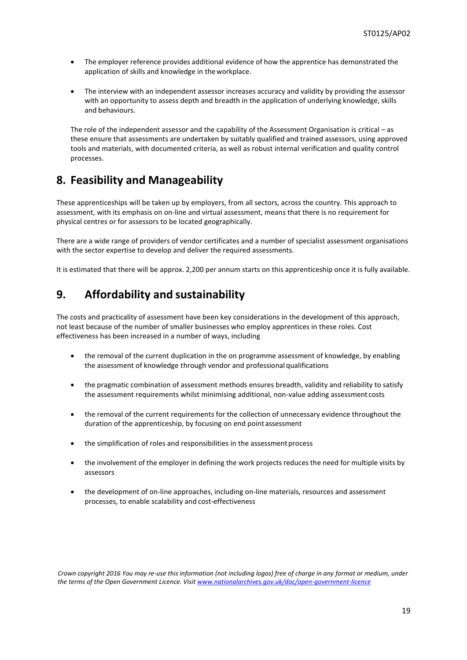- The employer reference provides additional evidence of how the apprentice has demonstrated the application of skills and knowledge in theworkplace.
- The interview with an independent assessor increases accuracy and validity by providing the assessor with an opportunity to assess depth and breadth in the application of underlying knowledge, skills and behaviours.

The role of the independent assessor and the capability of the Assessment Organisation is critical – as these ensure that assessments are undertaken by suitably qualified and trained assessors, using approved tools and materials, with documented criteria, as well as robust internal verification and quality control processes.

### **8. Feasibility and Manageability**

These apprenticeships will be taken up by employers, from all sectors, across the country. This approach to assessment, with its emphasis on on-line and virtual assessment, means that there is no requirement for physical centres or for assessors to be located geographically.

There are a wide range of providers of vendor certificates and a number of specialist assessment organisations with the sector expertise to develop and deliver the required assessments.

It is estimated that there will be approx. 2,200 per annum starts on this apprenticeship once it is fully available.

## **9. Affordability and sustainability**

The costs and practicality of assessment have been key considerations in the development of this approach, not least because of the number of smaller businesses who employ apprentices in these roles. Cost effectiveness has been increased in a number of ways, including

- the removal of the current duplication in the on programme assessment of knowledge, by enabling the assessment of knowledge through vendor and professional qualifications
- the pragmatic combination of assessment methods ensures breadth, validity and reliability to satisfy the assessment requirements whilst minimising additional, non-value adding assessment costs
- the removal of the current requirements for the collection of unnecessary evidence throughout the duration of the apprenticeship, by focusing on end pointassessment
- the simplification of roles and responsibilities in the assessment process
- the involvement of the employer in defining the work projects reduces the need for multiple visits by assessors
- the development of on-line approaches, including on-line materials, resources and assessment processes, to enable scalability and cost-effectiveness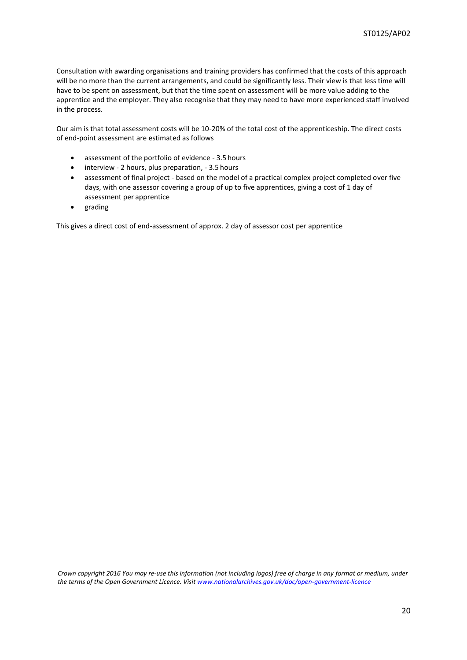Consultation with awarding organisations and training providers has confirmed that the costs of this approach will be no more than the current arrangements, and could be significantly less. Their view is that less time will have to be spent on assessment, but that the time spent on assessment will be more value adding to the apprentice and the employer. They also recognise that they may need to have more experienced staff involved in the process.

Our aim is that total assessment costs will be 10-20% of the total cost of the apprenticeship. The direct costs of end-point assessment are estimated as follows

- assessment of the portfolio of evidence 3.5 hours
- interview 2 hours, plus preparation, 3.5 hours
- assessment of final project based on the model of a practical complex project completed over five days, with one assessor covering a group of up to five apprentices, giving a cost of 1 day of assessment per apprentice
- grading

This gives a direct cost of end-assessment of approx. 2 day of assessor cost per apprentice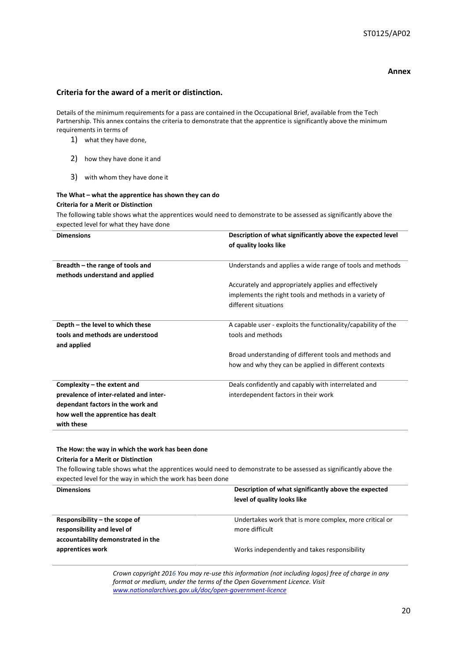### **Annex**

### **Criteria for the award of a merit or distinction.**

Details of the minimum requirements for a pass are contained in the Occupational Brief, available from the Tech Partnership. This annex contains the criteria to demonstrate that the apprentice is significantly above the minimum requirements in terms of

- 1) what they have done,
- 2) how they have done it and
- 3) with whom they have done it

### **The What – what the apprentice has shown they can do Criteria for a Merit or Distinction**

The following table shows what the apprentices would need to demonstrate to be assessed as significantly above the expected level for what they have done

| <b>Dimensions</b>                      | Description of what significantly above the expected level    |
|----------------------------------------|---------------------------------------------------------------|
|                                        | of quality looks like                                         |
|                                        |                                                               |
| Breadth – the range of tools and       | Understands and applies a wide range of tools and methods     |
| methods understand and applied         |                                                               |
|                                        | Accurately and appropriately applies and effectively          |
|                                        | implements the right tools and methods in a variety of        |
|                                        | different situations                                          |
|                                        |                                                               |
| Depth – the level to which these       | A capable user - exploits the functionality/capability of the |
| tools and methods are understood       | tools and methods                                             |
| and applied                            |                                                               |
|                                        | Broad understanding of different tools and methods and        |
|                                        | how and why they can be applied in different contexts         |
|                                        |                                                               |
| Complexity – the extent and            | Deals confidently and capably with interrelated and           |
| prevalence of inter-related and inter- | interdependent factors in their work                          |
| dependant factors in the work and      |                                                               |
| how well the apprentice has dealt      |                                                               |
| with these                             |                                                               |
|                                        |                                                               |

### **The How: the way in which the work has been done Criteria for a Merit or Distinction**

The following table shows what the apprentices would need to demonstrate to be assessed as significantly above the expected level for the way in which the work has been done

| <b>Dimensions</b>                  | Description of what significantly above the expected   |
|------------------------------------|--------------------------------------------------------|
|                                    | level of quality looks like                            |
|                                    |                                                        |
| Responsibility $-$ the scope of    | Undertakes work that is more complex, more critical or |
| responsibility and level of        | more difficult                                         |
| accountability demonstrated in the |                                                        |
| apprentices work                   | Works independently and takes responsibility           |
|                                    |                                                        |